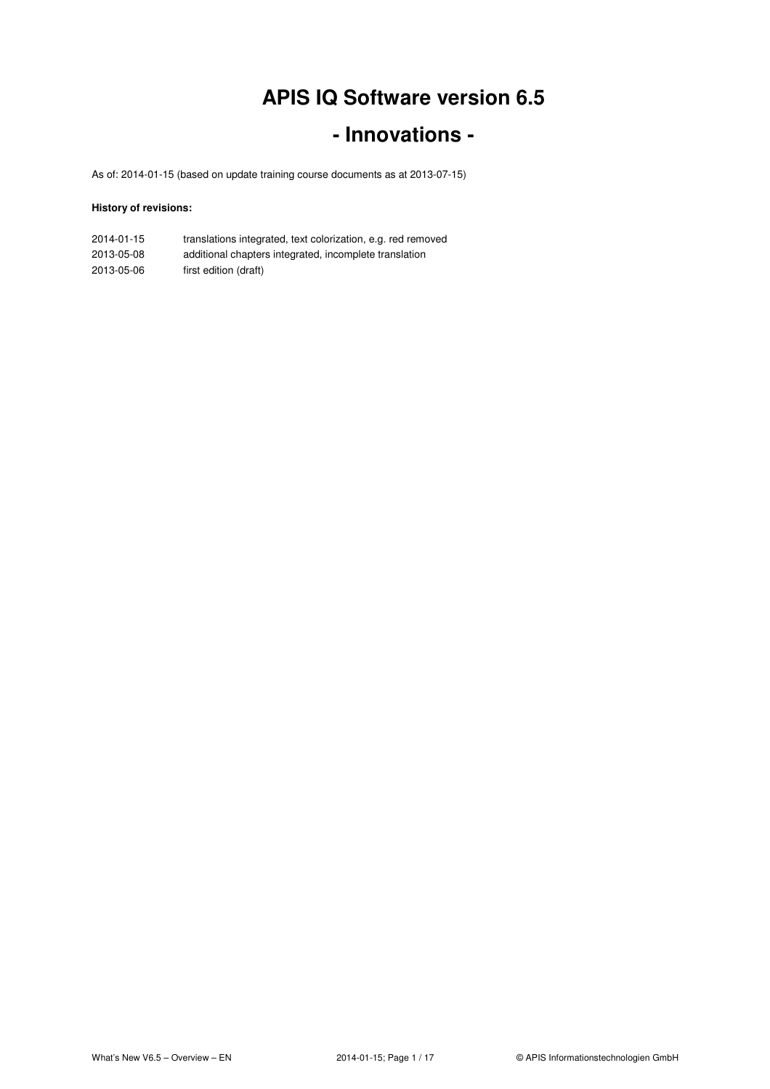# **APIS IQ Software version 6.5**

### **- Innovations -**

As of: 2014-01-15 (based on update training course documents as at 2013-07-15)

#### **History of revisions:**

| 2014-01-15 | translations integrated, text colorization, e.g. red removed |
|------------|--------------------------------------------------------------|
| 2013-05-08 | additional chapters integrated, incomplete translation       |

2013-05-06 first edition (draft)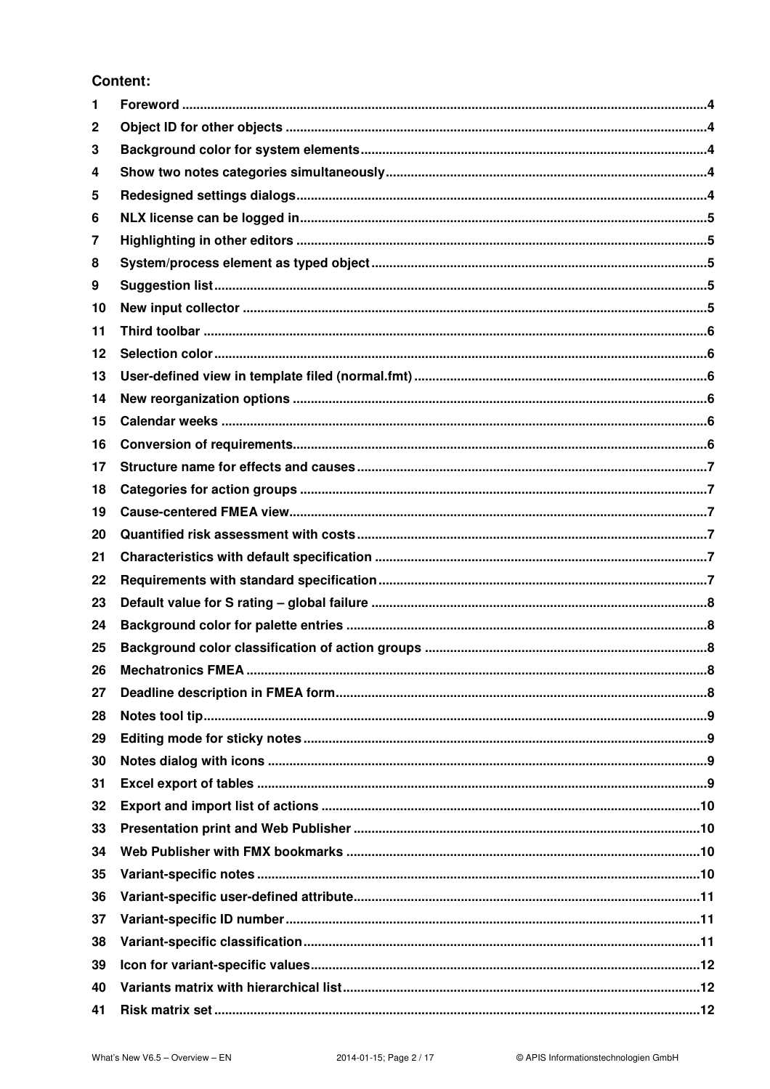#### **Content:**

| 1  |  |
|----|--|
| 2  |  |
| 3  |  |
| 4  |  |
| 5  |  |
| 6  |  |
| 7  |  |
| 8  |  |
| 9  |  |
| 10 |  |
| 11 |  |
| 12 |  |
| 13 |  |
| 14 |  |
| 15 |  |
| 16 |  |
| 17 |  |
| 18 |  |
| 19 |  |
| 20 |  |
| 21 |  |
| 22 |  |
| 23 |  |
| 24 |  |
| 25 |  |
| 26 |  |
| 27 |  |
| 28 |  |
| 29 |  |
| 30 |  |
| 31 |  |
| 32 |  |
| 33 |  |
| 34 |  |
| 35 |  |
| 36 |  |
| 37 |  |
| 38 |  |
| 39 |  |
| 40 |  |
| 41 |  |
|    |  |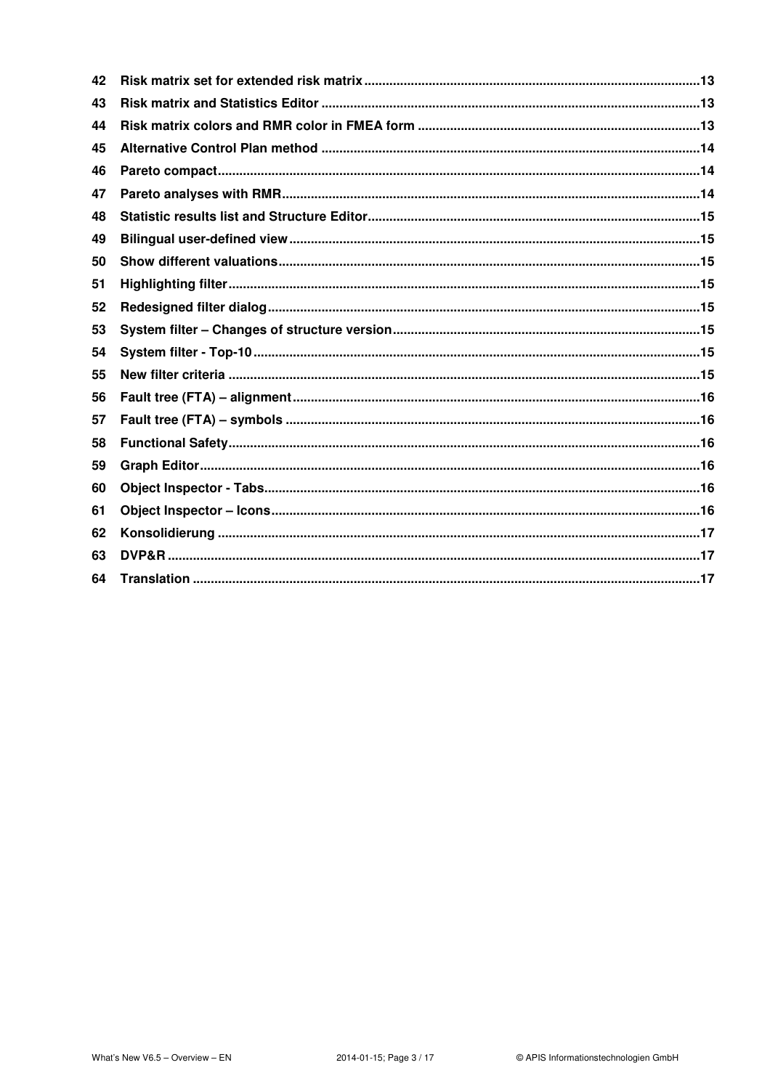| 42 |  |
|----|--|
| 43 |  |
| 44 |  |
| 45 |  |
| 46 |  |
| 47 |  |
| 48 |  |
| 49 |  |
| 50 |  |
| 51 |  |
| 52 |  |
| 53 |  |
| 54 |  |
| 55 |  |
| 56 |  |
| 57 |  |
| 58 |  |
| 59 |  |
| 60 |  |
| 61 |  |
| 62 |  |
| 63 |  |
| 64 |  |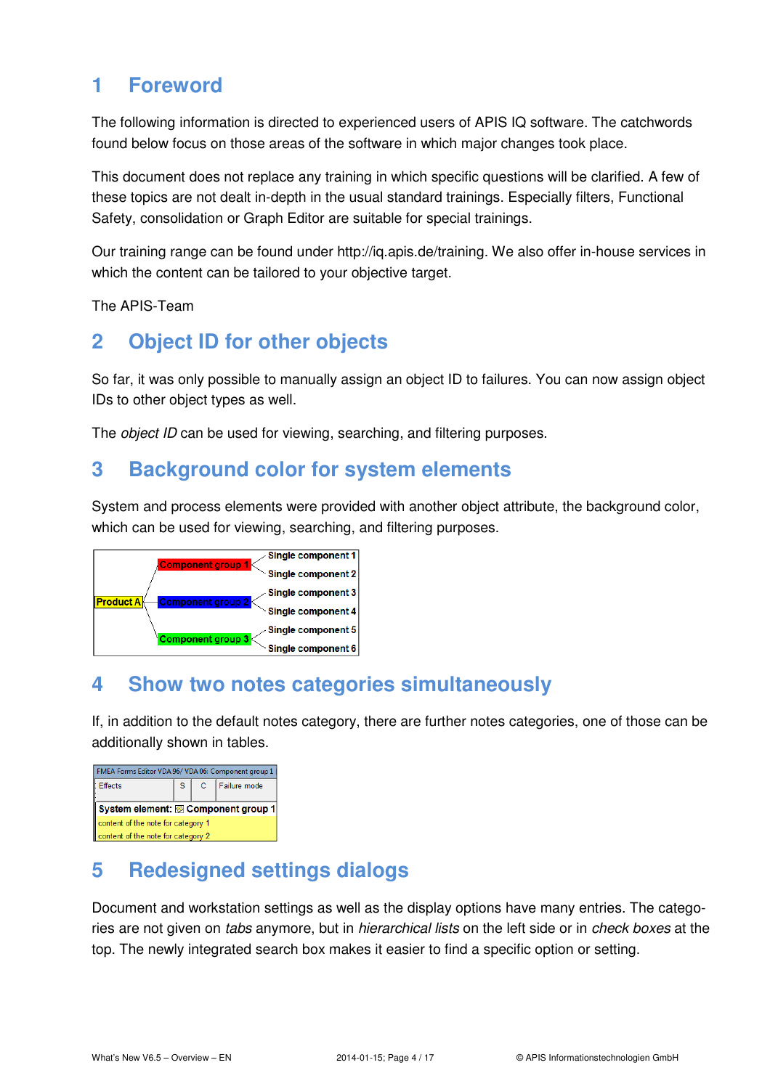### **1 Foreword**

The following information is directed to experienced users of APIS IQ software. The catchwords found below focus on those areas of the software in which major changes took place.

This document does not replace any training in which specific questions will be clarified. A few of these topics are not dealt in-depth in the usual standard trainings. Especially filters, Functional Safety, consolidation or Graph Editor are suitable for special trainings.

Our training range can be found under http://iq.apis.de/training. We also offer in-house services in which the content can be tailored to your objective target.

The APIS-Team

# **2 Object ID for other objects**

So far, it was only possible to manually assign an object ID to failures. You can now assign object IDs to other object types as well.

The *object ID* can be used for viewing, searching, and filtering purposes.

# **3 Background color for system elements**

System and process elements were provided with another object attribute, the background color, which can be used for viewing, searching, and filtering purposes.



### **4 Show two notes categories simultaneously**

If, in addition to the default notes category, there are further notes categories, one of those can be additionally shown in tables.

| FMEA Forms Editor VDA 96/VDA 06: Component group 1 ( |                                    |  |                  |  |  |  |  |  |  |
|------------------------------------------------------|------------------------------------|--|------------------|--|--|--|--|--|--|
| <b>Effects</b>                                       | S.                                 |  | C   Failure mode |  |  |  |  |  |  |
|                                                      |                                    |  |                  |  |  |  |  |  |  |
| System element: @ Component group 1                  |                                    |  |                  |  |  |  |  |  |  |
|                                                      | content of the note for category 1 |  |                  |  |  |  |  |  |  |
| content of the note for category 2                   |                                    |  |                  |  |  |  |  |  |  |

# **5 Redesigned settings dialogs**

Document and workstation settings as well as the display options have many entries. The categories are not given on tabs anymore, but in *hierarchical lists* on the left side or in *check boxes* at the top. The newly integrated search box makes it easier to find a specific option or setting.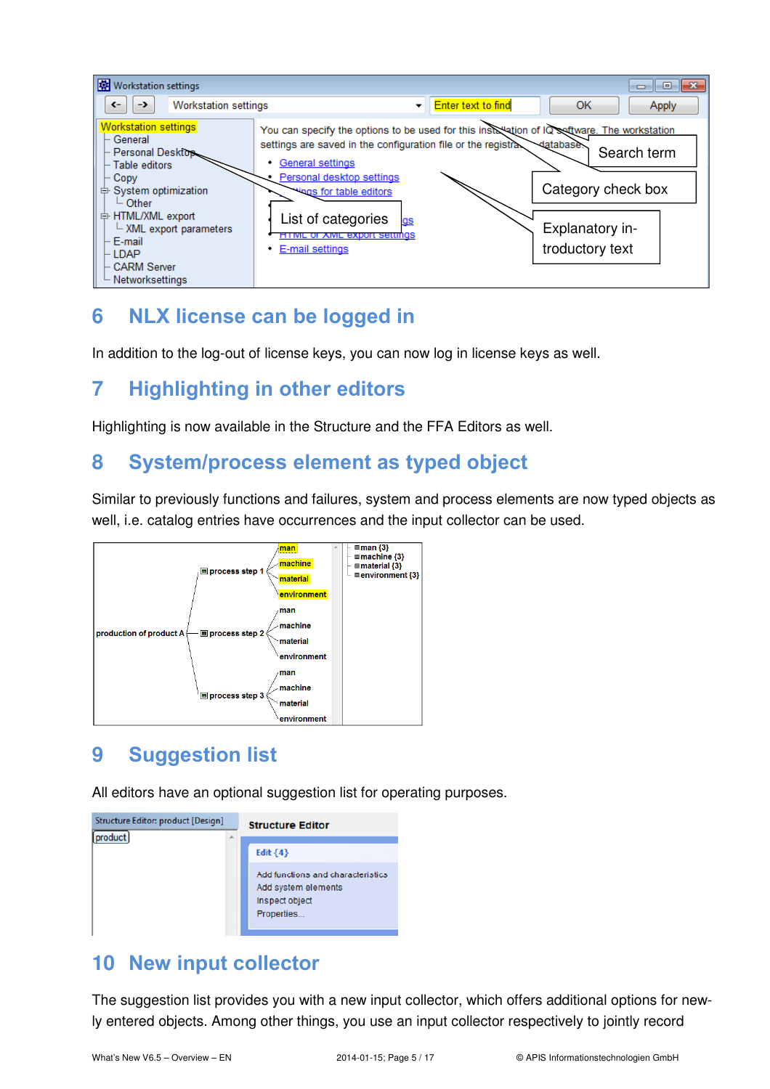

# **6 NLX license can be logged in**

In addition to the log-out of license keys, you can now log in license keys as well.

# **7 Highlighting in other editors**

Highlighting is now available in the Structure and the FFA Editors as well.

### **8 System/process element as typed object**

Similar to previously functions and failures, system and process elements are now typed objects as well, i.e. catalog entries have occurrences and the input collector can be used.



# **9 Suggestion list**

All editors have an optional suggestion list for operating purposes.

| Structure Editor: product [Design] | <b>Structure Editor</b>                                                                                |
|------------------------------------|--------------------------------------------------------------------------------------------------------|
| product                            | Edit ${4}$<br>Add functions and characteristics<br>Add system elements<br>Inspect object<br>Properties |

# **10 New input collector**

The suggestion list provides you with a new input collector, which offers additional options for newly entered objects. Among other things, you use an input collector respectively to jointly record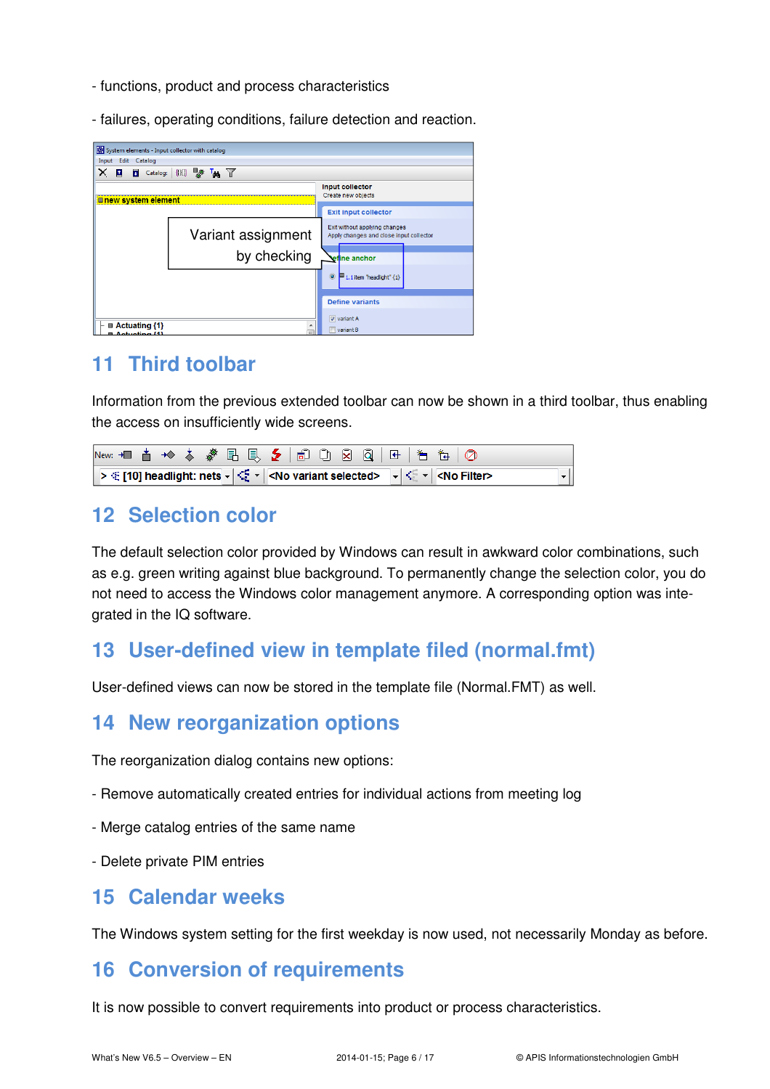- functions, product and process characteristics
- failures, operating conditions, failure detection and reaction.

| System elements - Input collector with catalog |                    |                                                                          |
|------------------------------------------------|--------------------|--------------------------------------------------------------------------|
| Input<br>Edit Catalog                          |                    |                                                                          |
| ×<br>$\mathbf{r}$                              | Catalog: (K) & M   |                                                                          |
| <u><b>■new system element</b></u>              |                    | <b>Input collector</b><br>Create new objects                             |
|                                                |                    | <b>Exit input collector</b>                                              |
|                                                | Variant assignment | Exit without applying changes<br>Apply changes and close input collector |
|                                                | by checking        | <b>\efine anchor</b>                                                     |
|                                                |                    | $\circledcirc$<br>1.1 item "headlight" {1}                               |
|                                                |                    | <b>Define variants</b>                                                   |
| $\blacksquare$ Actuating {1}                   | ۸                  | $\sqrt{ }$ variant A                                                     |
| ⊞ Actuating /11                                | $=$                | variant B                                                                |

### **11 Third toolbar**

Information from the previous extended toolbar can now be shown in a third toolbar, thus enabling the access on insufficiently wide screens.

| New: +■ 古 ◆ ◆ ♪ ● 邑 良 ◆   卣 □ 囟 囟   ☞   も も   ◎                                                                                                   |  |  |  |  |  |  |  |
|---------------------------------------------------------------------------------------------------------------------------------------------------|--|--|--|--|--|--|--|
| > ≤ [10] headlight: nets - $ \leq$ - $ $ <no selected="" variant=""> <math> </math> - <math> </math> &lt; <math> </math> <no filter=""></no></no> |  |  |  |  |  |  |  |

### **12 Selection color**

The default selection color provided by Windows can result in awkward color combinations, such as e.g. green writing against blue background. To permanently change the selection color, you do not need to access the Windows color management anymore. A corresponding option was integrated in the IQ software.

# **13 User-defined view in template filed (normal.fmt)**

User-defined views can now be stored in the template file (Normal.FMT) as well.

### **14 New reorganization options**

The reorganization dialog contains new options:

- Remove automatically created entries for individual actions from meeting log
- Merge catalog entries of the same name
- Delete private PIM entries

#### **15 Calendar weeks**

The Windows system setting for the first weekday is now used, not necessarily Monday as before.

### **16 Conversion of requirements**

It is now possible to convert requirements into product or process characteristics.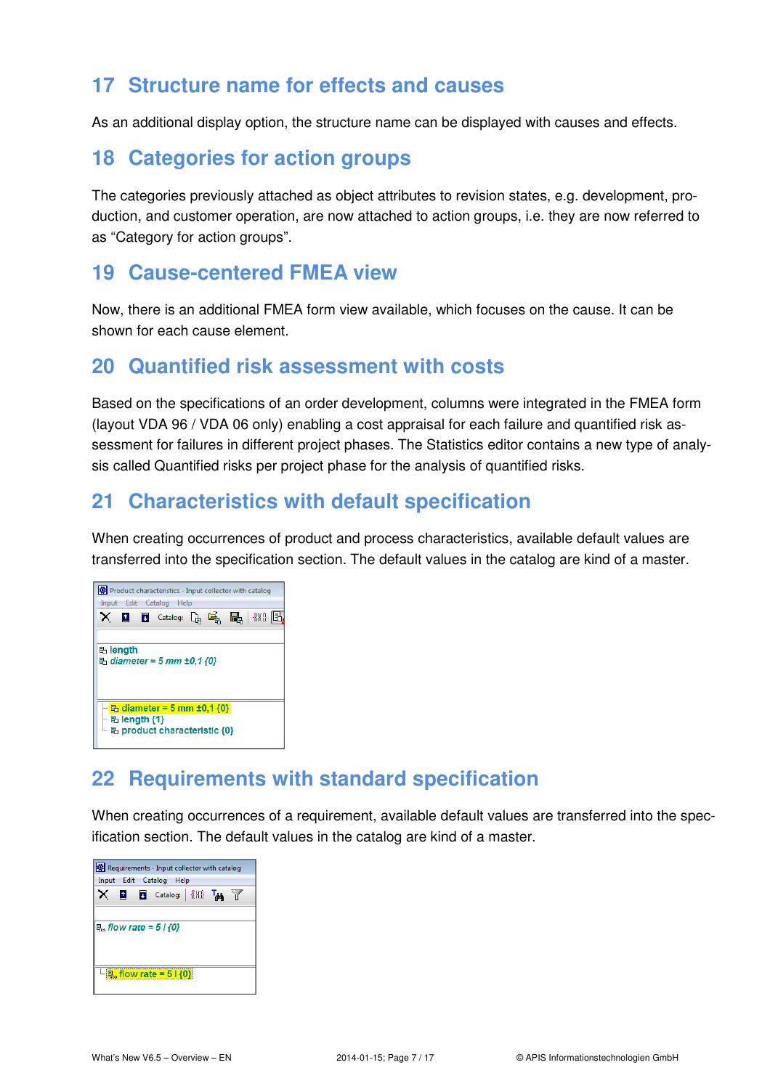### **17 Structure name for effects and causes**

As an additional display option, the structure name can be displayed with causes and effects.

### **18 Categories for action groups**

The categories previously attached as object attributes to revision states, e.g. development, production, and customer operation, are now attached to action groups, i.e. they are now referred to as "Category for action groups".

#### **19 Cause-centered FMEA view**

Now, there is an additional FMEA form view available, which focuses on the cause. It can be shown for each cause element.

### **20 Quantified risk assessment with costs**

Based on the specifications of an order development, columns were integrated in the FMEA form (layout VDA 96 / VDA 06 only) enabling a cost appraisal for each failure and quantified risk assessment for failures in different project phases. The Statistics editor contains a new type of analysis called Quantified risks per project phase for the analysis of quantified risks.

### **21 Characteristics with default specification**

When creating occurrences of product and process characteristics, available default values are transferred into the specification section. The default values in the catalog are kind of a master.



# **22 Requirements with standard specification**

When creating occurrences of a requirement, available default values are transferred into the specification section. The default values in the catalog are kind of a master.

| Requirements - Input collector with catalog |                                    |  |  |  |                            |  |  |
|---------------------------------------------|------------------------------------|--|--|--|----------------------------|--|--|
| Input Edit Catalog Help                     |                                    |  |  |  |                            |  |  |
|                                             |                                    |  |  |  | <b>Q Q</b> Catalog: {{}()} |  |  |
| □ flow rate = 5 / $\{0\}$                   |                                    |  |  |  |                            |  |  |
|                                             | $\mathbb{R}$ , flow rate = 5   {0} |  |  |  |                            |  |  |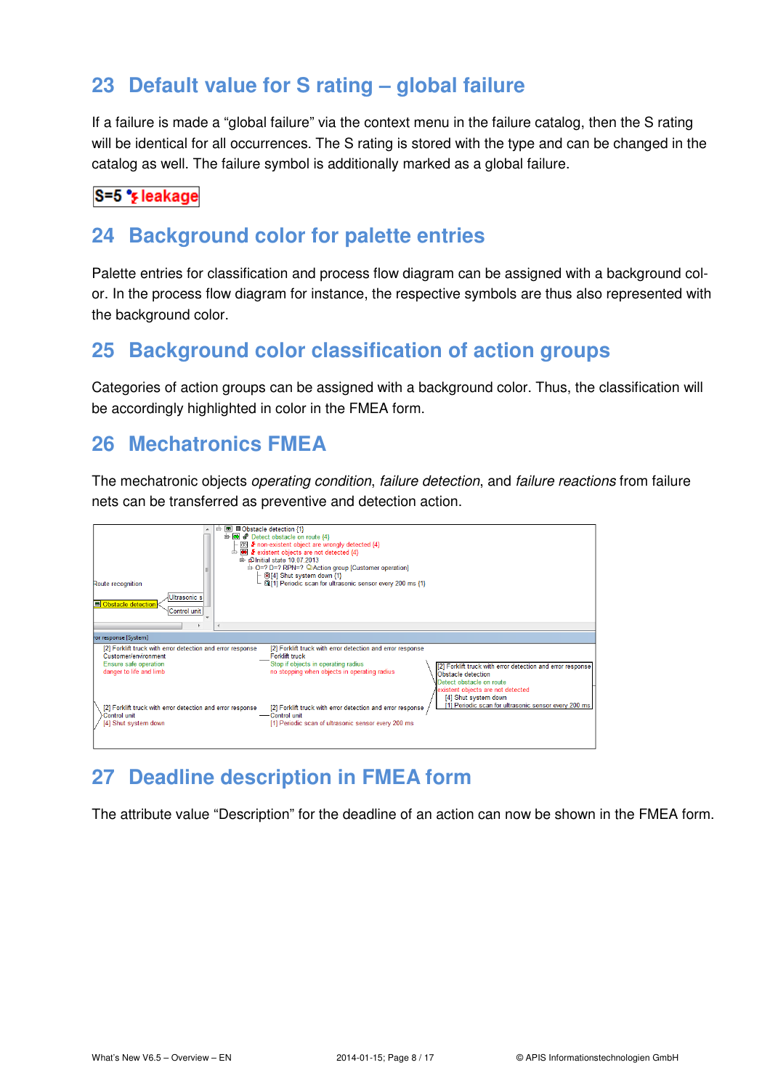# **23 Default value for S rating – global failure**

If a failure is made a "global failure" via the context menu in the failure catalog, then the S rating will be identical for all occurrences. The S rating is stored with the type and can be changed in the catalog as well. The failure symbol is additionally marked as a global failure.

#### S=5 \*s leakage

### **24 Background color for palette entries**

Palette entries for classification and process flow diagram can be assigned with a background color. In the process flow diagram for instance, the respective symbols are thus also represented with the background color.

# **25 Background color classification of action groups**

Categories of action groups can be assigned with a background color. Thus, the classification will be accordingly highlighted in color in the FMEA form.

### **26 Mechatronics FMEA**

The mechatronic objects operating condition, failure detection, and failure reactions from failure nets can be transferred as preventive and detection action.



# **27 Deadline description in FMEA form**

The attribute value "Description" for the deadline of an action can now be shown in the FMEA form.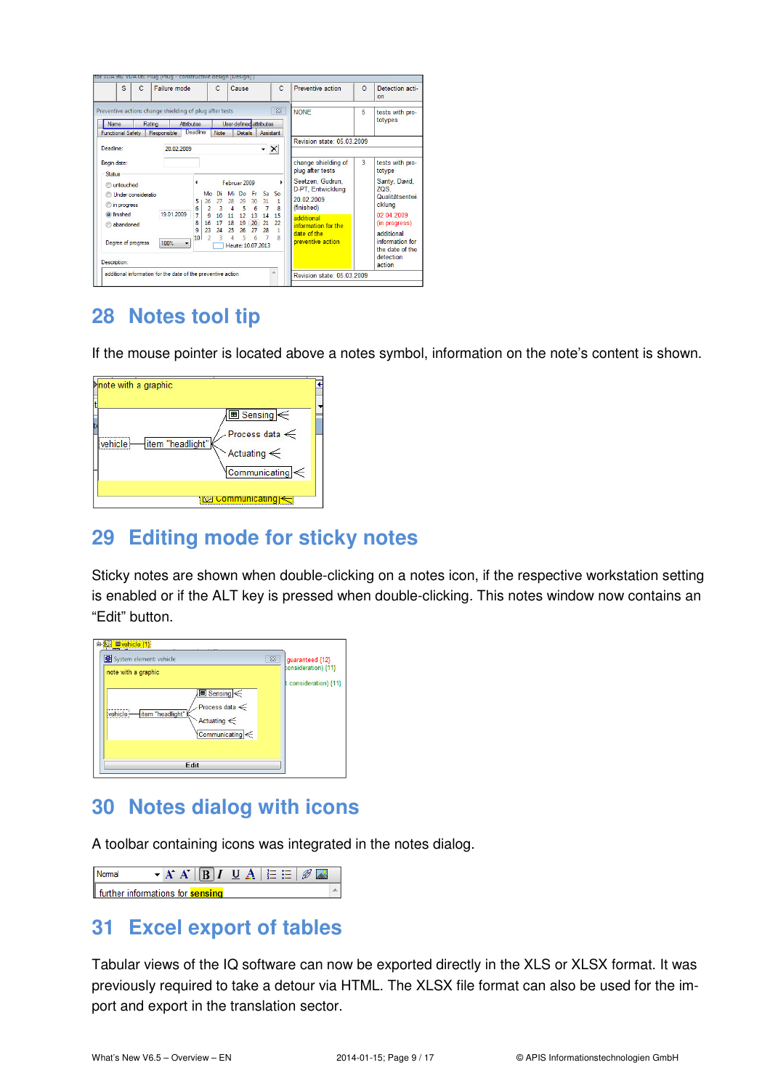| s<br>$\mathbf C$                                                                                                                                                     | Failure mode                                                       | c                                                                                         | Cause                                                                                                                                                           | C.                                                       | Preventive action                                                                                                                                                                     | $\Omega$ | Detection acti-<br>on                                                                                                                                                                    |
|----------------------------------------------------------------------------------------------------------------------------------------------------------------------|--------------------------------------------------------------------|-------------------------------------------------------------------------------------------|-----------------------------------------------------------------------------------------------------------------------------------------------------------------|----------------------------------------------------------|---------------------------------------------------------------------------------------------------------------------------------------------------------------------------------------|----------|------------------------------------------------------------------------------------------------------------------------------------------------------------------------------------------|
| Preventive action: change shielding of plug after tests<br><b>Name</b><br>Rating<br><b>Functional Safety</b><br>Responsible<br>Deadline:                             | <b>Attributes</b><br><b>Deadline</b><br>20.02.2009                 | <b>Note</b>                                                                               | User-defined attributes<br><b>Details</b><br>$\mathbf{X}$                                                                                                       | $\Sigma$<br><b>Assistant</b>                             | <b>NONE</b><br>Revision state: 05 03 2009                                                                                                                                             | 5        | tests with pro-<br>totypes                                                                                                                                                               |
| Begin date:<br>Status<br><b>Ountouched</b><br>Inder consideratio<br>in progress<br>⊙<br><b>O</b> finished<br>abandoned<br>Degree of progress<br>100%<br>Description: | Mo<br>26<br>K<br>19 01 2009<br>7<br>8<br>16<br>٩<br>23<br>10<br>۰. | Mi<br>Di<br>28<br>27<br>2<br>R<br>9<br>11<br>10<br>17<br>18<br>24<br>25<br>$\overline{ }$ | Februar 2009<br>Sa.<br>- Fr<br>Do<br>31<br>29<br>30 <sub>2</sub><br>7<br>5<br>4<br>14<br>12<br>13<br>21<br>19<br>20<br>28<br>26<br>27<br>5<br>Heute: 10.07.2013 | ь<br>So<br>1<br>R<br>15<br>$\overline{\mathcal{D}}$<br>R | change shielding of<br>plug after tests<br>Seetzen, Gudrun,<br>D-PT, Entwicklung<br>20 02 2009<br>(finished)<br>additional<br>information for the<br>date of the<br>preventive action | 3        | tests with pro-<br>totype<br>Santy, David,<br>ZQS.<br>Qualitätsentwi<br>cklung<br>02.04.2009<br>(in progress)<br>additional<br>information for<br>the date of the<br>detection<br>action |

# **28 Notes tool tip**

If the mouse pointer is located above a notes symbol, information on the note's content is shown.



# **29 Editing mode for sticky notes**

Sticky notes are shown when double-clicking on a notes icon, if the respective workstation setting is enabled or if the ALT key is pressed when double-clicking. This notes window now contains an "Edit" button.



### **30 Notes dialog with icons**

A toolbar containing icons was integrated in the notes dialog.

|                                         |  | $\mathbf{A} \mathbf{A}' \ \mathbf{B}\  \mathbf{I} \mathbf{U} \mathbf{A}\  \in \mathbf{H} \ \mathcal{B}'\ $ |  |  |  |  |
|-----------------------------------------|--|------------------------------------------------------------------------------------------------------------|--|--|--|--|
| further informations for <b>sensing</b> |  |                                                                                                            |  |  |  |  |

### **31 Excel export of tables**

Tabular views of the IQ software can now be exported directly in the XLS or XLSX format. It was previously required to take a detour via HTML. The XLSX file format can also be used for the import and export in the translation sector.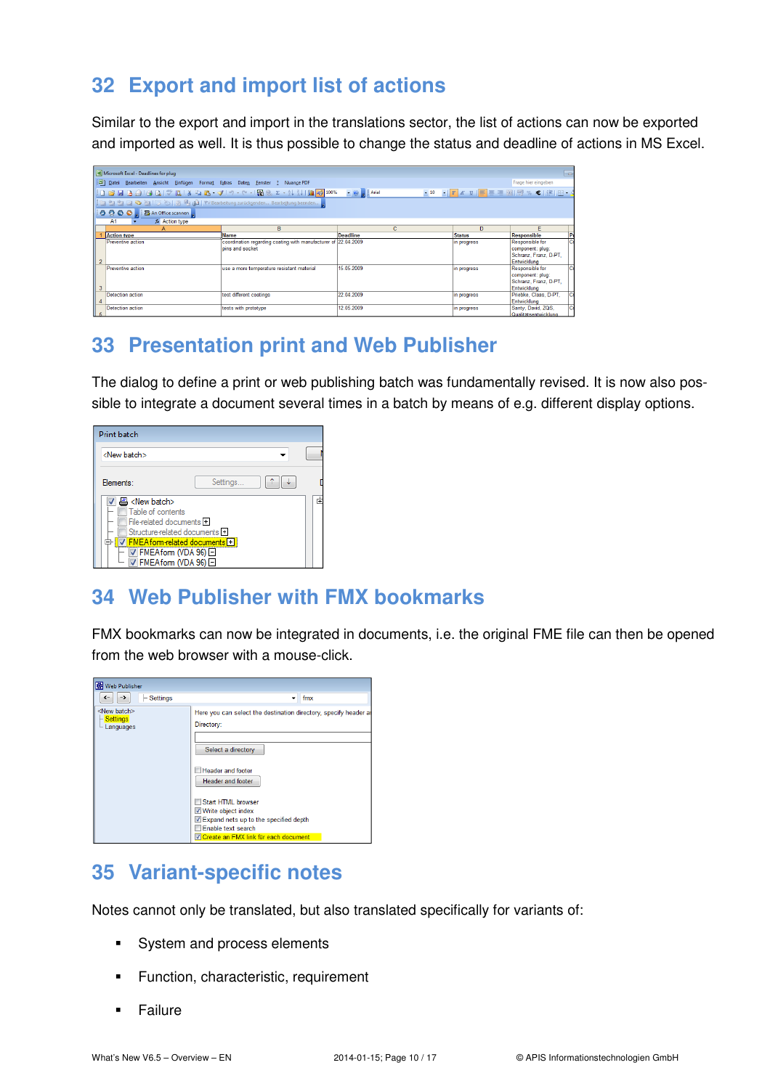# **32 Export and import list of actions**

Similar to the export and import in the translations sector, the list of actions can now be exported and imported as well. It is thus possible to change the status and deadline of actions in MS Excel.

| Microsoft Excel - Deadlines for plug                                                                      | $\blacksquare$                                                 |                 |               |                                               |  |  |  |  |  |
|-----------------------------------------------------------------------------------------------------------|----------------------------------------------------------------|-----------------|---------------|-----------------------------------------------|--|--|--|--|--|
| Frage hier eingeben<br>[28] Datei Bearbeiten Ansicht Einfügen Format Extras Daten Fenster ?<br>Nuance PDF |                                                                |                 |               |                                               |  |  |  |  |  |
| •10 • FKU 事事理图图%€ ま図•:<br>$\bullet$ $\circ$ $\bullet$ $\bullet$ Arial                                     |                                                                |                 |               |                                               |  |  |  |  |  |
|                                                                                                           | Harbeitung beenden                                             |                 |               |                                               |  |  |  |  |  |
| 10000 BAn Office scannen                                                                                  |                                                                |                 |               |                                               |  |  |  |  |  |
| fx Action type<br>A1                                                                                      |                                                                |                 |               |                                               |  |  |  |  |  |
| A                                                                                                         | R.                                                             | Ċ.              | n.            | F                                             |  |  |  |  |  |
| <b>Action type</b>                                                                                        | <b>Name</b>                                                    | <b>Deadline</b> | <b>Status</b> | P<br>Responsible                              |  |  |  |  |  |
| Preventive action                                                                                         | coordination regarding coating with manufacturer of 22.04.2009 |                 | in progress   | G<br>Responsible for                          |  |  |  |  |  |
|                                                                                                           | oins and socket                                                |                 |               | component: plug:                              |  |  |  |  |  |
|                                                                                                           |                                                                |                 |               | Schranz, Franz, D-PT,                         |  |  |  |  |  |
|                                                                                                           |                                                                |                 |               | Entwicklung                                   |  |  |  |  |  |
| Preventive action                                                                                         | use a more temperature resistant material                      | 15.05.2009      | in progress   | c<br>Responsible for                          |  |  |  |  |  |
|                                                                                                           |                                                                |                 |               | component: plug:                              |  |  |  |  |  |
|                                                                                                           |                                                                |                 |               | Schranz, Franz, D-PT.                         |  |  |  |  |  |
|                                                                                                           |                                                                |                 |               | Entwicklung                                   |  |  |  |  |  |
| Detection action                                                                                          | test different coatings                                        | 22.04.2009      | in progress   | Priebke, Claas, D-PT,<br>٥                    |  |  |  |  |  |
|                                                                                                           |                                                                |                 |               | Entwicklung                                   |  |  |  |  |  |
| Detection action                                                                                          | tests with prototype                                           | 12.05.2009      | in progress   | $\overline{\mathbf{c}}$<br>Santy, David, ZQS, |  |  |  |  |  |
| II 5                                                                                                      |                                                                |                 |               | Qualitätsentwicklung                          |  |  |  |  |  |

# **33 Presentation print and Web Publisher**

The dialog to define a print or web publishing batch was fundamentally revised. It is now also possible to integrate a document several times in a batch by means of e.g. different display options.

| <b>Print batch</b>                                                                                                                                                                                                                                                                      |          |   |
|-----------------------------------------------------------------------------------------------------------------------------------------------------------------------------------------------------------------------------------------------------------------------------------------|----------|---|
| <new batch=""></new>                                                                                                                                                                                                                                                                    |          |   |
| Flements:                                                                                                                                                                                                                                                                               | Settings |   |
| 르 <new batch=""><br/>Table of contents<br/>File-related documents +<br/>Structure-related documents E<br/>V FMEA form-related documents +<br/><math>\triangledown</math> FMEA form (VDA 96) <math>\Box</math><br/><math>\triangledown</math> FMEA form (VDA 96) <math>\Box</math></new> |          | 庫 |

# **34 Web Publisher with FMX bookmarks**

FMX bookmarks can now be integrated in documents, i.e. the original FME file can then be opened from the web browser with a mouse-click.

| Web Publisher                                          |                                                                                                                                                                                                                                                                                                                     |
|--------------------------------------------------------|---------------------------------------------------------------------------------------------------------------------------------------------------------------------------------------------------------------------------------------------------------------------------------------------------------------------|
| $-$ Settings<br>$\leftarrow$<br>->                     | fmx<br>٠                                                                                                                                                                                                                                                                                                            |
| <new batch=""><br/><b>Settings</b><br/>Languages</new> | Here you can select the destination directory, specify header an<br>Directory:<br>Select a directory<br><b>Header and footer</b><br>Header and footer<br>Start HTML browser<br><b>V</b> Write object index<br>Expand nets up to the specified depth<br>Enable text search<br>V Create an FMX link für each document |

# **35 Variant-specific notes**

Notes cannot only be translated, but also translated specifically for variants of:

- System and process elements
- **Function, characteristic, requirement**
- **Failure**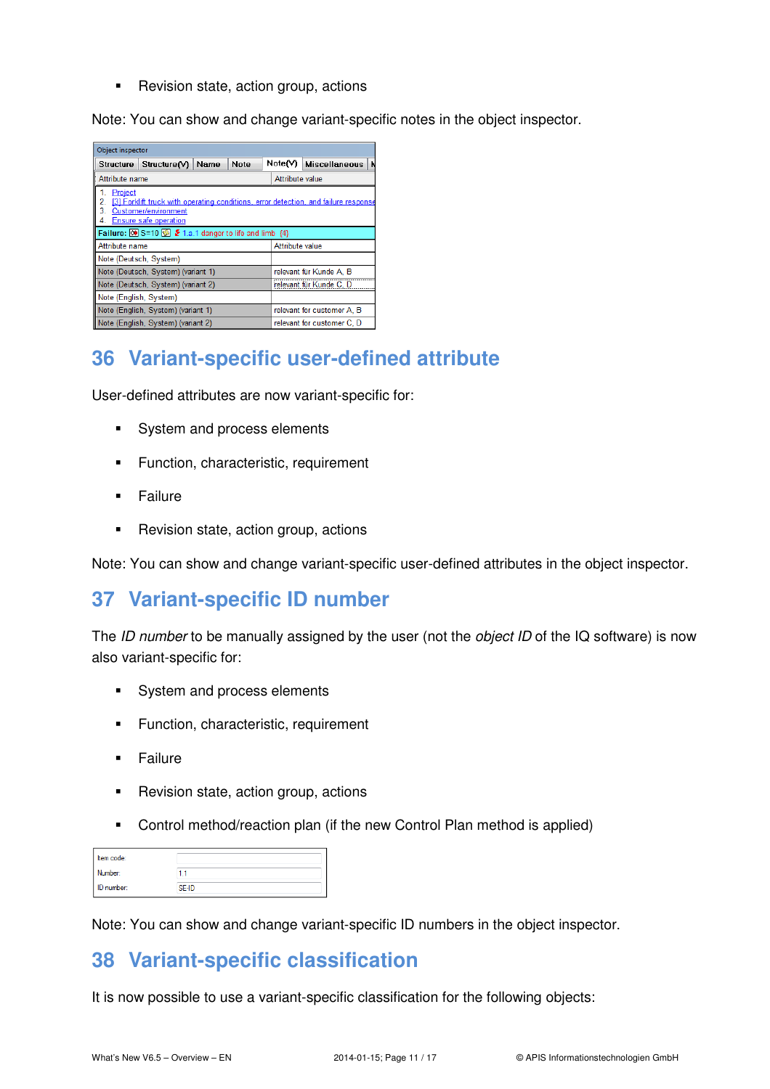• Revision state, action group, actions

Note: You can show and change variant-specific notes in the object inspector.

| Object inspector                                                                                                                                                |              |      |      |         |                            |                      |  |  |  |  |
|-----------------------------------------------------------------------------------------------------------------------------------------------------------------|--------------|------|------|---------|----------------------------|----------------------|--|--|--|--|
| <b>Structure</b>                                                                                                                                                | Structure(V) | Name | Note | Note(V) |                            | <b>Miscellaneous</b> |  |  |  |  |
| Attribute name                                                                                                                                                  |              |      |      |         | Attribute value            |                      |  |  |  |  |
| Project<br>1<br>[3] Forklift truck with operating conditions, error detection, and failure response<br>2.<br>3<br>Customer/environment<br>Ensure safe operation |              |      |      |         |                            |                      |  |  |  |  |
| Failure: $\overline{60}$ S=10 $\overline{60}$ $\overline{2}$ 1.a.1 danger to life and limb {4}                                                                  |              |      |      |         |                            |                      |  |  |  |  |
| Attribute name                                                                                                                                                  |              |      |      |         | Attribute value            |                      |  |  |  |  |
| Note (Deutsch, System)                                                                                                                                          |              |      |      |         |                            |                      |  |  |  |  |
| Note (Deutsch, System) (variant 1)                                                                                                                              |              |      |      |         | relevant für Kunde A. B    |                      |  |  |  |  |
| Note (Deutsch, System) (variant 2)                                                                                                                              |              |      |      |         | relevant für Kunde C       |                      |  |  |  |  |
| Note (English, System)                                                                                                                                          |              |      |      |         |                            |                      |  |  |  |  |
| Note (English, System) (variant 1)                                                                                                                              |              |      |      |         | relevant for customer A. B |                      |  |  |  |  |
| Note (English, System) (variant 2)                                                                                                                              |              |      |      |         | relevant for customer C. D |                      |  |  |  |  |

# **36 Variant-specific user-defined attribute**

User-defined attributes are now variant-specific for:

- System and process elements
- **Function, characteristic, requirement**
- **Failure**
- **Revision state, action group, actions**

Note: You can show and change variant-specific user-defined attributes in the object inspector.

### **37 Variant-specific ID number**

The ID number to be manually assigned by the user (not the object ID of the IQ software) is now also variant-specific for:

- System and process elements
- **Function, characteristic, requirement**
- **Failure**
- **Revision state, action group, actions**
- Control method/reaction plan (if the new Control Plan method is applied)

| Item code: |  |
|------------|--|
| Number:    |  |
| ID number: |  |

Note: You can show and change variant-specific ID numbers in the object inspector.

### **38 Variant-specific classification**

It is now possible to use a variant-specific classification for the following objects: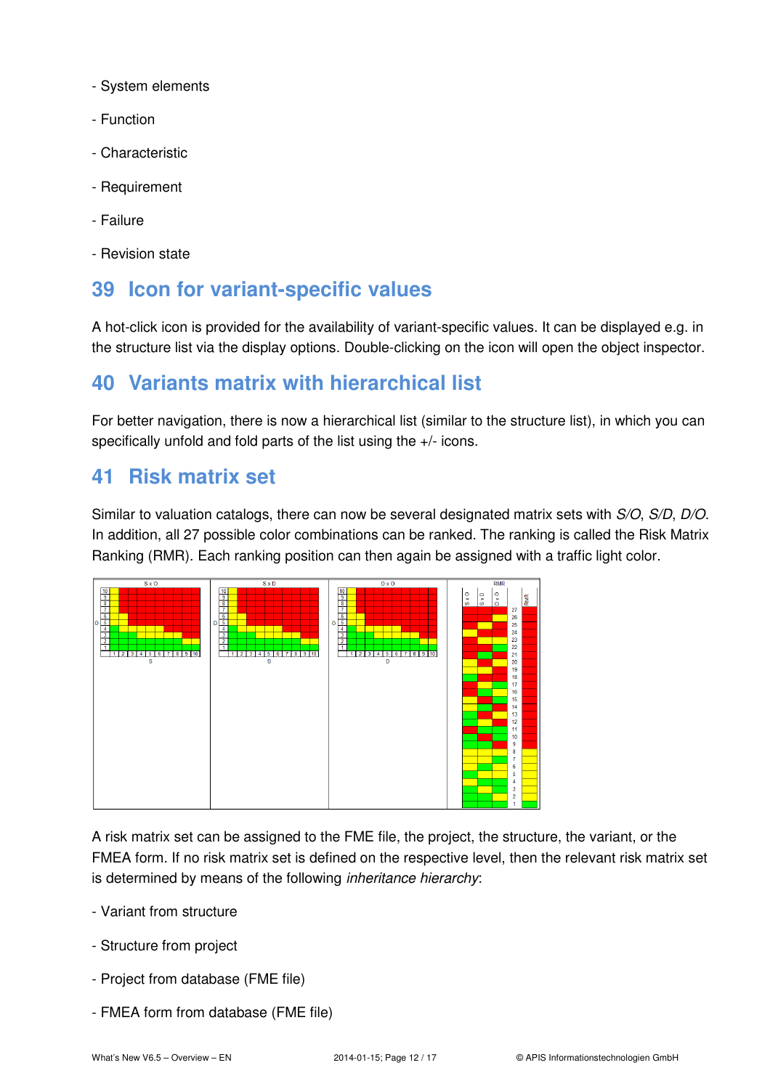- System elements
- Function
- Characteristic
- Requirement
- Failure
- Revision state

### **39 Icon for variant-specific values**

A hot-click icon is provided for the availability of variant-specific values. It can be displayed e.g. in the structure list via the display options. Double-clicking on the icon will open the object inspector.

### **40 Variants matrix with hierarchical list**

For better navigation, there is now a hierarchical list (similar to the structure list), in which you can specifically unfold and fold parts of the list using the +/- icons.

#### **41 Risk matrix set**

Similar to valuation catalogs, there can now be several designated matrix sets with S/O, S/D, D/O. In addition, all 27 possible color combinations can be ranked. The ranking is called the Risk Matrix Ranking (RMR). Each ranking position can then again be assigned with a traffic light color.



A risk matrix set can be assigned to the FME file, the project, the structure, the variant, or the FMEA form. If no risk matrix set is defined on the respective level, then the relevant risk matrix set is determined by means of the following *inheritance hierarchy*:

- Variant from structure
- Structure from project
- Project from database (FME file)
- FMEA form from database (FME file)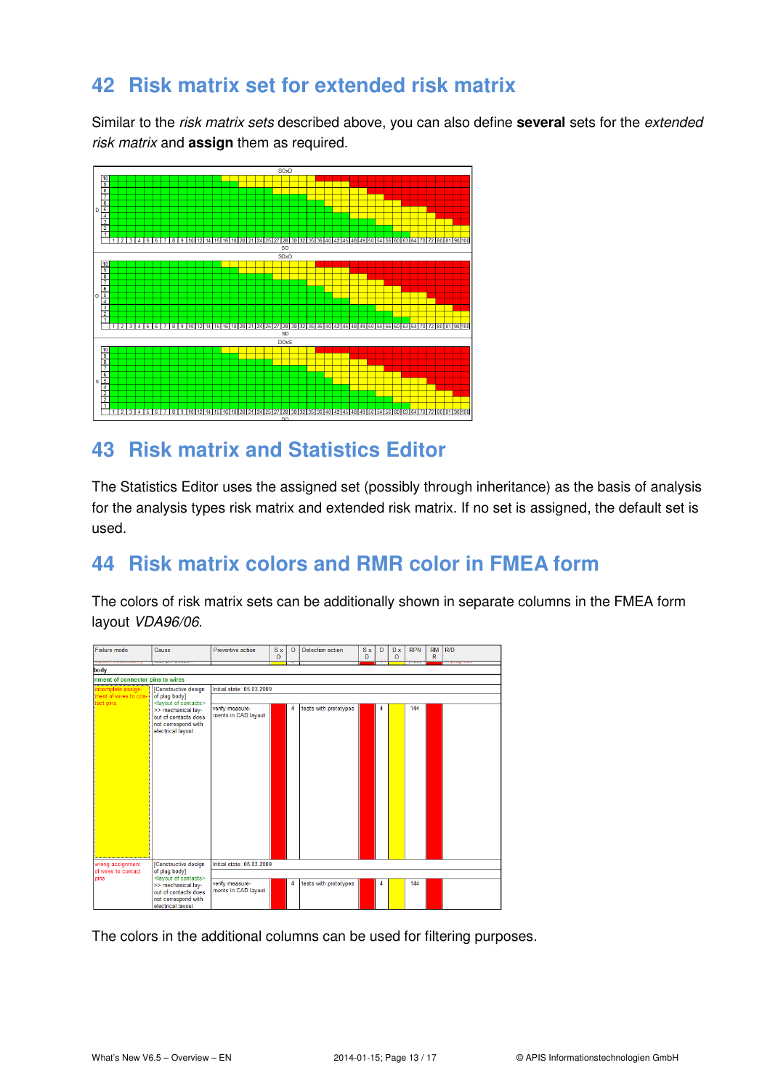# **42 Risk matrix set for extended risk matrix**

Similar to the risk matrix sets described above, you can also define **several** sets for the extended risk matrix and **assign** them as required.



# **43 Risk matrix and Statistics Editor**

The Statistics Editor uses the assigned set (possibly through inheritance) as the basis of analysis for the analysis types risk matrix and extended risk matrix. If no set is assigned, the default set is used.

# **44 Risk matrix colors and RMR color in FMEA form**

The colors of risk matrix sets can be additionally shown in separate columns in the FMEA form layout VDA96/06.

| Failure mode                                    | Cause                                                                                                                                                                            | Preventive action                      | S x<br>$\Omega$ | $\circ$ | <b>Detection action</b> | S x<br>D | D | D x<br>$\circ$ | <b>RPN</b><br>$\overline{\phantom{a}}$ | <b>RM</b><br>R | R/D<br>فتسط |
|-------------------------------------------------|----------------------------------------------------------------------------------------------------------------------------------------------------------------------------------|----------------------------------------|-----------------|---------|-------------------------|----------|---|----------------|----------------------------------------|----------------|-------------|
| body                                            |                                                                                                                                                                                  |                                        |                 |         |                         |          |   |                |                                        |                |             |
| nment of connector pins to wires                |                                                                                                                                                                                  |                                        |                 |         |                         |          |   |                |                                        |                |             |
| incomplete assign-                              | [Constructive design<br>of plug body]<br><layout contacts="" of=""></layout>                                                                                                     | Initial state: 05.03.2009              |                 |         |                         |          |   |                |                                        |                |             |
| ment of wires to con-<br>act pins               |                                                                                                                                                                                  |                                        |                 |         |                         |          |   |                |                                        |                |             |
|                                                 | >> mechanical lay-<br>out of contacts does<br>not correspond with<br>electrical layout                                                                                           | verify measure-<br>ments in CAD layout |                 | 4       | tests with prototypes   |          | 4 |                | 144                                    |                |             |
| wrong assignment<br>of wires to contact<br>pins | [Constructive design<br>of plug body]<br><layout contacts="" of=""><br/>&gt;&gt; mechanical lay-<br/>out of contacts does<br/>not correspond with<br/>electrical layout</layout> | Initial state: 05.03.2009              |                 |         |                         |          |   |                |                                        |                |             |
|                                                 |                                                                                                                                                                                  |                                        |                 |         |                         |          |   |                |                                        |                |             |
|                                                 |                                                                                                                                                                                  | verify measure-<br>ments in CAD layout |                 | 4       | tests with prototypes   |          | 4 |                | 144                                    |                |             |

The colors in the additional columns can be used for filtering purposes.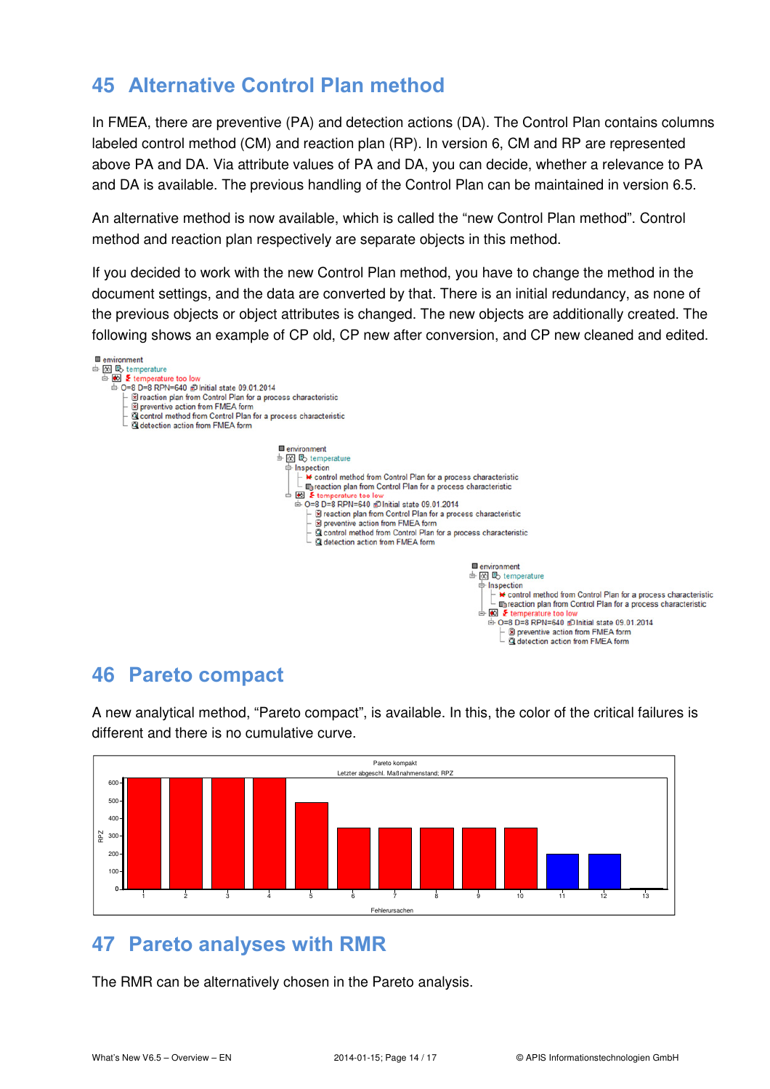# **45 Alternative Control Plan method**

In FMEA, there are preventive (PA) and detection actions (DA). The Control Plan contains columns labeled control method (CM) and reaction plan (RP). In version 6, CM and RP are represented above PA and DA. Via attribute values of PA and DA, you can decide, whether a relevance to PA and DA is available. The previous handling of the Control Plan can be maintained in version 6.5.

An alternative method is now available, which is called the "new Control Plan method". Control method and reaction plan respectively are separate objects in this method.

If you decided to work with the new Control Plan method, you have to change the method in the document settings, and the data are converted by that. There is an initial redundancy, as none of the previous objects or object attributes is changed. The new objects are additionally created. The following shows an example of CP old, CP new after conversion, and CP new cleaned and edited.



### **46 Pareto compact**



A new analytical method, "Pareto compact", is available. In this, the color of the critical failures is different and there is no cumulative curve.

# **47 Pareto analyses with RMR**

The RMR can be alternatively chosen in the Pareto analysis.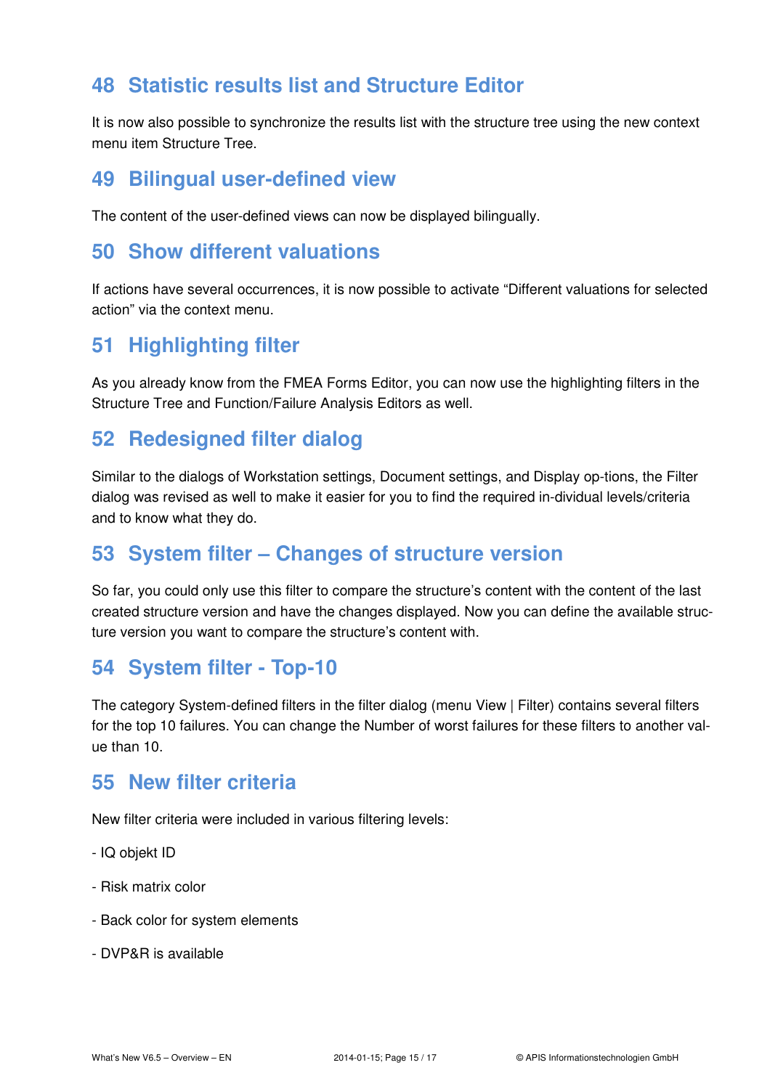# **48 Statistic results list and Structure Editor**

It is now also possible to synchronize the results list with the structure tree using the new context menu item Structure Tree.

#### **49 Bilingual user-defined view**

The content of the user-defined views can now be displayed bilingually.

### **50 Show different valuations**

If actions have several occurrences, it is now possible to activate "Different valuations for selected action" via the context menu.

### **51 Highlighting filter**

As you already know from the FMEA Forms Editor, you can now use the highlighting filters in the Structure Tree and Function/Failure Analysis Editors as well.

# **52 Redesigned filter dialog**

Similar to the dialogs of Workstation settings, Document settings, and Display op-tions, the Filter dialog was revised as well to make it easier for you to find the required in-dividual levels/criteria and to know what they do.

# **53 System filter – Changes of structure version**

So far, you could only use this filter to compare the structure's content with the content of the last created structure version and have the changes displayed. Now you can define the available structure version you want to compare the structure's content with.

### **54 System filter - Top-10**

The category System-defined filters in the filter dialog (menu View | Filter) contains several filters for the top 10 failures. You can change the Number of worst failures for these filters to another value than 10.

### **55 New filter criteria**

New filter criteria were included in various filtering levels:

- IQ objekt ID
- Risk matrix color
- Back color for system elements
- DVP&R is available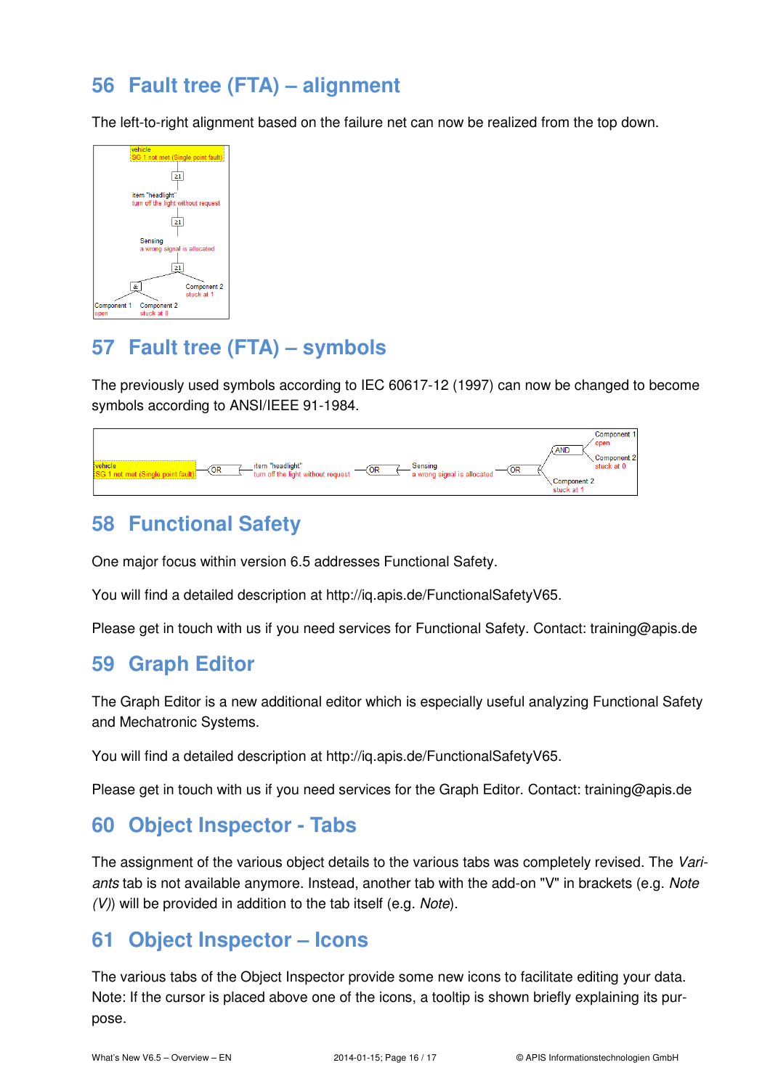# **56 Fault tree (FTA) – alignment**

The left-to-right alignment based on the failure net can now be realized from the top down.



# **57 Fault tree (FTA) – symbols**

The previously used symbols according to IEC 60617-12 (1997) can now be changed to become symbols according to ANSI/IEEE 91-1984.



### **58 Functional Safety**

One major focus within version 6.5 addresses Functional Safety.

You will find a detailed description at http://iq.apis.de/FunctionalSafetyV65.

Please get in touch with us if you need services for Functional Safety. Contact: training@apis.de

### **59 Graph Editor**

The Graph Editor is a new additional editor which is especially useful analyzing Functional Safety and Mechatronic Systems.

You will find a detailed description at http://iq.apis.de/FunctionalSafetyV65.

Please get in touch with us if you need services for the Graph Editor. Contact: training@apis.de

### **60 Object Inspector - Tabs**

The assignment of the various object details to the various tabs was completely revised. The Variants tab is not available anymore. Instead, another tab with the add-on "V" in brackets (e.g. Note (V)) will be provided in addition to the tab itself (e.g. Note).

### **61 Object Inspector – Icons**

The various tabs of the Object Inspector provide some new icons to facilitate editing your data. Note: If the cursor is placed above one of the icons, a tooltip is shown briefly explaining its purpose.